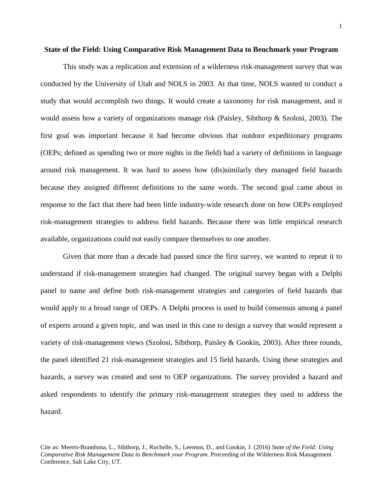This study was a replication and extension of a wilderness risk-management survey that was conducted by the University of Utah and NOLS in 2003. At that time, NOLS wanted to conduct a study that would accomplish two things. It would create a taxonomy for risk management, and it would assess how a variety of organizations manage risk (Paisley, Sibthorp & Szolosi, 2003). The first goal was important because it had become obvious that outdoor expeditionary programs (OEPs; defined as spending two or more nights in the field) had a variety of definitions in language around risk management. It was hard to assess how (dis)similarly they managed field hazards because they assigned different definitions to the same words. The second goal came about in response to the fact that there had been little industry-wide research done on how OEPs employed risk-management strategies to address field hazards. Because there was little empirical research available, organizations could not easily compare themselves to one another.

Given that more than a decade had passed since the first survey, we wanted to repeat it to understand if risk-management strategies had changed. The original survey began with a Delphi panel to name and define both risk-management strategies and categories of field hazards that would apply to a broad range of OEPs. A Delphi process is used to build consensus among a panel of experts around a given topic, and was used in this case to design a survey that would represent a variety of risk-management views (Szolosi, Sibthorp, Paisley & Gookin, 2003). After three rounds, the panel identified 21 risk-management strategies and 15 field hazards. Using these strategies and hazards, a survey was created and sent to OEP organizations. The survey provided a hazard and asked respondents to identify the primary risk-management strategies they used to address the hazard.

Cite as: Meerts-Brandsma, L., Sibthorp, J., Rochelle, S., Leemon, D., and Gookin, J. (2016) *State of the Field: Using Comparative Risk Management Data to Benchmark your Program.* Proceeding of the Wilderness Risk Management Conference, Salt Lake City, UT.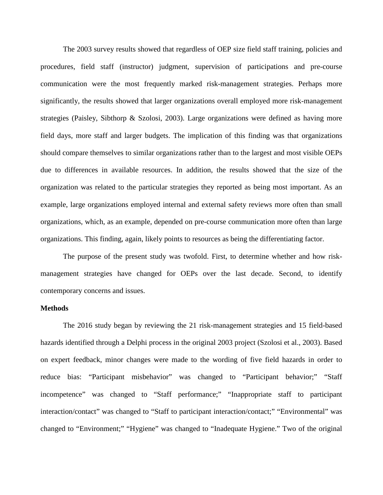The 2003 survey results showed that regardless of OEP size field staff training, policies and procedures, field staff (instructor) judgment, supervision of participations and pre-course communication were the most frequently marked risk-management strategies. Perhaps more significantly, the results showed that larger organizations overall employed more risk-management strategies (Paisley, Sibthorp & Szolosi, 2003). Large organizations were defined as having more field days, more staff and larger budgets. The implication of this finding was that organizations should compare themselves to similar organizations rather than to the largest and most visible OEPs due to differences in available resources. In addition, the results showed that the size of the organization was related to the particular strategies they reported as being most important. As an example, large organizations employed internal and external safety reviews more often than small organizations, which, as an example, depended on pre-course communication more often than large organizations. This finding, again, likely points to resources as being the differentiating factor.

The purpose of the present study was twofold. First, to determine whether and how riskmanagement strategies have changed for OEPs over the last decade. Second, to identify contemporary concerns and issues.

#### **Methods**

The 2016 study began by reviewing the 21 risk-management strategies and 15 field-based hazards identified through a Delphi process in the original 2003 project (Szolosi et al., 2003). Based on expert feedback, minor changes were made to the wording of five field hazards in order to reduce bias: "Participant misbehavior" was changed to "Participant behavior;" "Staff incompetence" was changed to "Staff performance;" "Inappropriate staff to participant interaction/contact" was changed to "Staff to participant interaction/contact;" "Environmental" was changed to "Environment;" "Hygiene" was changed to "Inadequate Hygiene." Two of the original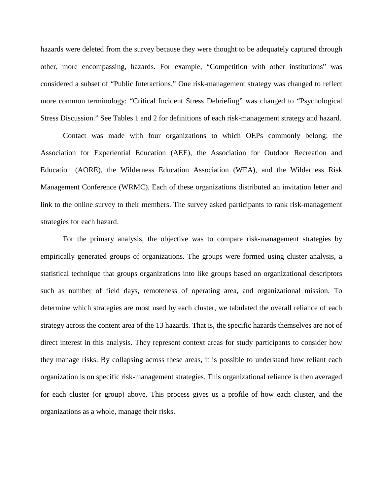hazards were deleted from the survey because they were thought to be adequately captured through other, more encompassing, hazards. For example, "Competition with other institutions" was considered a subset of "Public Interactions." One risk-management strategy was changed to reflect more common terminology: "Critical Incident Stress Debriefing" was changed to "Psychological Stress Discussion." See Tables 1 and 2 for definitions of each risk-management strategy and hazard.

Contact was made with four organizations to which OEPs commonly belong: the Association for Experiential Education (AEE), the Association for Outdoor Recreation and Education (AORE), the Wilderness Education Association (WEA), and the Wilderness Risk Management Conference (WRMC). Each of these organizations distributed an invitation letter and link to the online survey to their members. The survey asked participants to rank risk-management strategies for each hazard.

For the primary analysis, the objective was to compare risk-management strategies by empirically generated groups of organizations. The groups were formed using cluster analysis, a statistical technique that groups organizations into like groups based on organizational descriptors such as number of field days, remoteness of operating area, and organizational mission. To determine which strategies are most used by each cluster, we tabulated the overall reliance of each strategy across the content area of the 13 hazards. That is, the specific hazards themselves are not of direct interest in this analysis. They represent context areas for study participants to consider how they manage risks. By collapsing across these areas, it is possible to understand how reliant each organization is on specific risk-management strategies. This organizational reliance is then averaged for each cluster (or group) above. This process gives us a profile of how each cluster, and the organizations as a whole, manage their risks.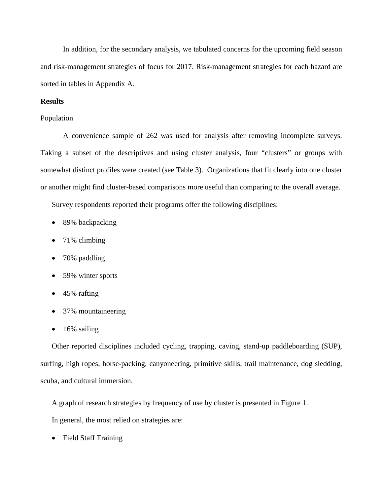In addition, for the secondary analysis, we tabulated concerns for the upcoming field season and risk-management strategies of focus for 2017. Risk-management strategies for each hazard are sorted in tables in Appendix A.

### **Results**

#### Population

A convenience sample of 262 was used for analysis after removing incomplete surveys. Taking a subset of the descriptives and using cluster analysis, four "clusters" or groups with somewhat distinct profiles were created (see Table 3). Organizations that fit clearly into one cluster or another might find cluster-based comparisons more useful than comparing to the overall average.

Survey respondents reported their programs offer the following disciplines:

- 89% backpacking
- 71% climbing
- 70% paddling
- 59% winter sports
- 45% rafting
- 37% mountaineering
- 16% sailing

Other reported disciplines included cycling, trapping, caving, stand-up paddleboarding (SUP), surfing, high ropes, horse-packing, canyoneering, primitive skills, trail maintenance, dog sledding, scuba, and cultural immersion.

A graph of research strategies by frequency of use by cluster is presented in Figure 1.

In general, the most relied on strategies are:

• Field Staff Training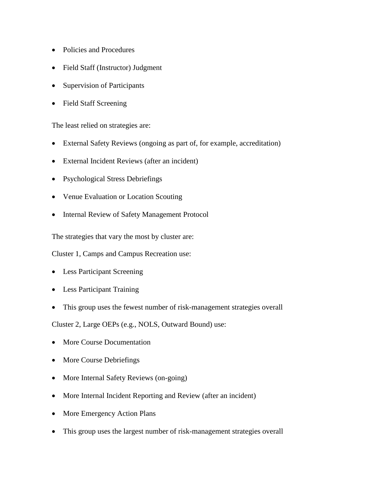- Policies and Procedures
- Field Staff (Instructor) Judgment
- Supervision of Participants
- Field Staff Screening

The least relied on strategies are:

- External Safety Reviews (ongoing as part of, for example, accreditation)
- External Incident Reviews (after an incident)
- Psychological Stress Debriefings
- Venue Evaluation or Location Scouting
- Internal Review of Safety Management Protocol

The strategies that vary the most by cluster are:

Cluster 1, Camps and Campus Recreation use:

- Less Participant Screening
- Less Participant Training
- This group uses the fewest number of risk-management strategies overall

Cluster 2, Large OEPs (e.g., NOLS, Outward Bound) use:

- More Course Documentation
- More Course Debriefings
- More Internal Safety Reviews (on-going)
- More Internal Incident Reporting and Review (after an incident)
- More Emergency Action Plans
- This group uses the largest number of risk-management strategies overall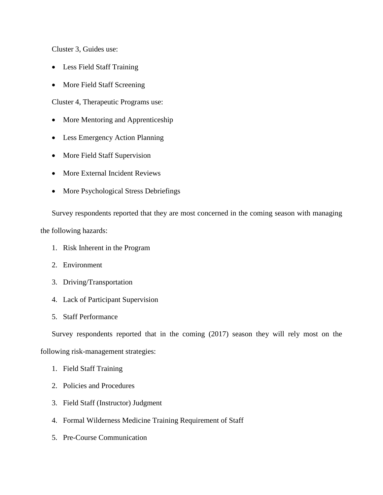Cluster 3, Guides use:

- Less Field Staff Training
- More Field Staff Screening

Cluster 4, Therapeutic Programs use:

- More Mentoring and Apprenticeship
- Less Emergency Action Planning
- More Field Staff Supervision
- More External Incident Reviews
- More Psychological Stress Debriefings

Survey respondents reported that they are most concerned in the coming season with managing

the following hazards:

- 1. Risk Inherent in the Program
- 2. Environment
- 3. Driving/Transportation
- 4. Lack of Participant Supervision
- 5. Staff Performance

Survey respondents reported that in the coming (2017) season they will rely most on the

following risk-management strategies:

- 1. Field Staff Training
- 2. Policies and Procedures
- 3. Field Staff (Instructor) Judgment
- 4. Formal Wilderness Medicine Training Requirement of Staff
- 5. Pre-Course Communication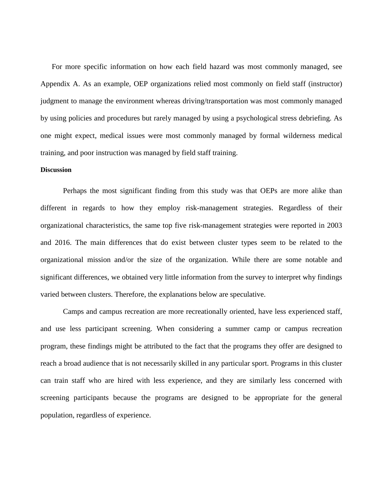For more specific information on how each field hazard was most commonly managed, see Appendix A. As an example, OEP organizations relied most commonly on field staff (instructor) judgment to manage the environment whereas driving/transportation was most commonly managed by using policies and procedures but rarely managed by using a psychological stress debriefing. As one might expect, medical issues were most commonly managed by formal wilderness medical training, and poor instruction was managed by field staff training.

#### **Discussion**

Perhaps the most significant finding from this study was that OEPs are more alike than different in regards to how they employ risk-management strategies. Regardless of their organizational characteristics, the same top five risk-management strategies were reported in 2003 and 2016. The main differences that do exist between cluster types seem to be related to the organizational mission and/or the size of the organization. While there are some notable and significant differences, we obtained very little information from the survey to interpret why findings varied between clusters. Therefore, the explanations below are speculative.

Camps and campus recreation are more recreationally oriented, have less experienced staff, and use less participant screening. When considering a summer camp or campus recreation program, these findings might be attributed to the fact that the programs they offer are designed to reach a broad audience that is not necessarily skilled in any particular sport. Programs in this cluster can train staff who are hired with less experience, and they are similarly less concerned with screening participants because the programs are designed to be appropriate for the general population, regardless of experience.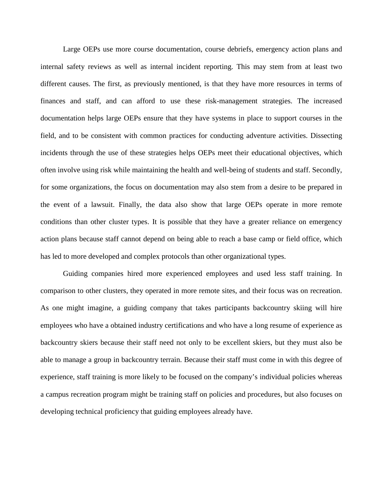Large OEPs use more course documentation, course debriefs, emergency action plans and internal safety reviews as well as internal incident reporting. This may stem from at least two different causes. The first, as previously mentioned, is that they have more resources in terms of finances and staff, and can afford to use these risk-management strategies. The increased documentation helps large OEPs ensure that they have systems in place to support courses in the field, and to be consistent with common practices for conducting adventure activities. Dissecting incidents through the use of these strategies helps OEPs meet their educational objectives, which often involve using risk while maintaining the health and well-being of students and staff. Secondly, for some organizations, the focus on documentation may also stem from a desire to be prepared in the event of a lawsuit. Finally, the data also show that large OEPs operate in more remote conditions than other cluster types. It is possible that they have a greater reliance on emergency action plans because staff cannot depend on being able to reach a base camp or field office, which has led to more developed and complex protocols than other organizational types.

Guiding companies hired more experienced employees and used less staff training. In comparison to other clusters, they operated in more remote sites, and their focus was on recreation. As one might imagine, a guiding company that takes participants backcountry skiing will hire employees who have a obtained industry certifications and who have a long resume of experience as backcountry skiers because their staff need not only to be excellent skiers, but they must also be able to manage a group in backcountry terrain. Because their staff must come in with this degree of experience, staff training is more likely to be focused on the company's individual policies whereas a campus recreation program might be training staff on policies and procedures, but also focuses on developing technical proficiency that guiding employees already have.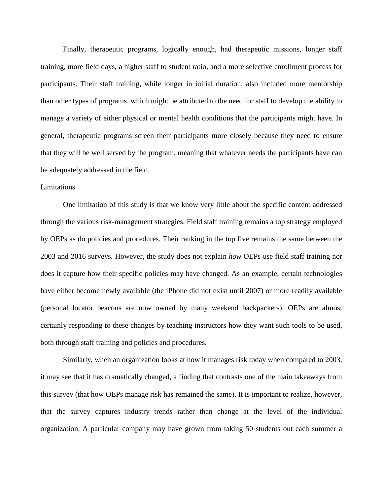Finally, therapeutic programs, logically enough, had therapeutic missions, longer staff training, more field days, a higher staff to student ratio, and a more selective enrollment process for participants. Their staff training, while longer in initial duration, also included more mentorship than other types of programs, which might be attributed to the need for staff to develop the ability to manage a variety of either physical or mental health conditions that the participants might have. In general, therapeutic programs screen their participants more closely because they need to ensure that they will be well served by the program, meaning that whatever needs the participants have can be adequately addressed in the field.

#### Limitations

One limitation of this study is that we know very little about the specific content addressed through the various risk-management strategies. Field staff training remains a top strategy employed by OEPs as do policies and procedures. Their ranking in the top five remains the same between the 2003 and 2016 surveys. However, the study does not explain *how* OEPs use field staff training nor does it capture how their specific policies may have changed. As an example, certain technologies have either become newly available (the iPhone did not exist until 2007) or more readily available (personal locator beacons are now owned by many weekend backpackers). OEPs are almost certainly responding to these changes by teaching instructors how they want such tools to be used, both through staff training and policies and procedures.

Similarly, when an organization looks at how it manages risk today when compared to 2003, it may see that it has dramatically changed, a finding that contrasts one of the main takeaways from this survey (that how OEPs manage risk has remained the same). It is important to realize, however, that the survey captures industry trends rather than change at the level of the individual organization. A particular company may have grown from taking 50 students out each summer a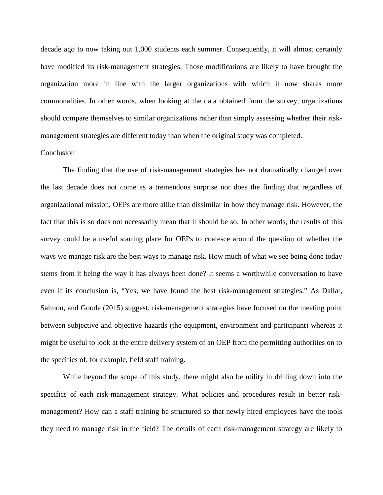decade ago to now taking out 1,000 students each summer. Consequently, it will almost certainly have modified its risk-management strategies. Those modifications are likely to have brought the organization more in line with the larger organizations with which it now shares more commonalities. In other words, when looking at the data obtained from the survey, organizations should compare themselves to similar organizations rather than simply assessing whether their riskmanagement strategies are different today than when the original study was completed.

### Conclusion

The finding that the use of risk-management strategies has not dramatically changed over the last decade does not come as a tremendous surprise nor does the finding that regardless of organizational mission, OEPs are more alike than dissimilar in how they manage risk. However, the fact that this is so does not necessarily mean that it should be so. In other words, the results of this survey could be a useful starting place for OEPs to coalesce around the question of whether the ways we manage risk are the best ways to manage risk. How much of what we see being done today stems from it being the way it has always been done? It seems a worthwhile conversation to have even if its conclusion is, "Yes, we have found the best risk-management strategies." As Dallat, Salmon, and Goode (2015) suggest, risk-management strategies have focused on the meeting point between subjective and objective hazards (the equipment, environment and participant) whereas it might be useful to look at the entire delivery system of an OEP from the permitting authorities on to the specifics of, for example, field staff training.

While beyond the scope of this study, there might also be utility in drilling down into the specifics of each risk-management strategy. What policies and procedures result in better riskmanagement? How can a staff training be structured so that newly hired employees have the tools they need to manage risk in the field? The details of each risk-management strategy are likely to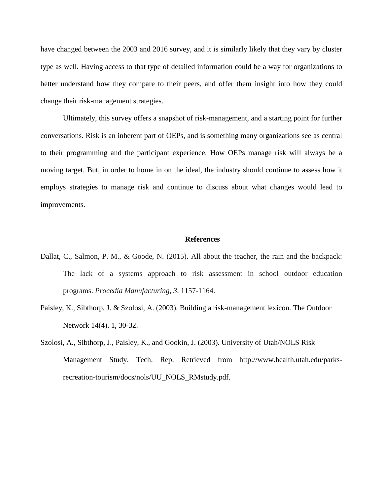have changed between the 2003 and 2016 survey, and it is similarly likely that they vary by cluster type as well. Having access to that type of detailed information could be a way for organizations to better understand how they compare to their peers, and offer them insight into how they could change their risk-management strategies.

Ultimately, this survey offers a snapshot of risk-management, and a starting point for further conversations. Risk is an inherent part of OEPs, and is something many organizations see as central to their programming and the participant experience. How OEPs manage risk will always be a moving target. But, in order to home in on the ideal, the industry should continue to assess how it employs strategies to manage risk and continue to discuss about what changes would lead to improvements.

#### **References**

- Dallat, C., Salmon, P. M., & Goode, N. (2015). All about the teacher, the rain and the backpack: The lack of a systems approach to risk assessment in school outdoor education programs. *Procedia Manufacturing*, *3*, 1157-1164.
- Paisley, K., Sibthorp, J. & Szolosi, A. (2003). Building a risk-management lexicon. The Outdoor Network 14(4). 1, 30-32.
- Szolosi, A., Sibthorp, J., Paisley, K., and Gookin, J. (2003). University of Utah/NOLS Risk Management Study. Tech. Rep. Retrieved from http://www.health.utah.edu/parksrecreation-tourism/docs/nols/UU\_NOLS\_RMstudy.pdf.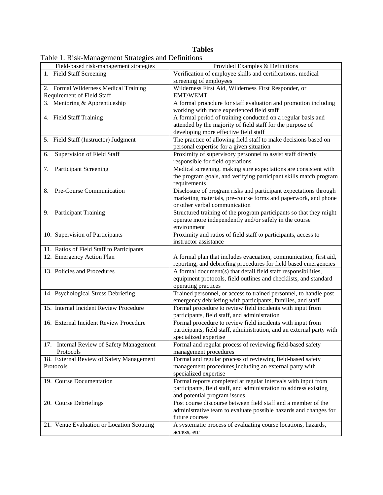## **Tables**

| Field-based risk-management strategies                | Provided Examples & Definitions                                                                             |
|-------------------------------------------------------|-------------------------------------------------------------------------------------------------------------|
| 1. Field Staff Screening                              | Verification of employee skills and certifications, medical                                                 |
|                                                       | screening of employees                                                                                      |
| 2. Formal Wilderness Medical Training                 | Wilderness First Aid, Wilderness First Responder, or                                                        |
| Requirement of Field Staff                            | <b>EMT/WEMT</b>                                                                                             |
| 3. Mentoring & Apprenticeship                         | A formal procedure for staff evaluation and promotion including                                             |
|                                                       | working with more experienced field staff                                                                   |
| 4. Field Staff Training                               | A formal period of training conducted on a regular basis and                                                |
|                                                       | attended by the majority of field staff for the purpose of                                                  |
|                                                       | developing more effective field staff                                                                       |
| 5. Field Staff (Instructor) Judgment                  | The practice of allowing field staff to make decisions based on                                             |
|                                                       | personal expertise for a given situation                                                                    |
| Supervision of Field Staff<br>6.                      | Proximity of supervisory personnel to assist staff directly                                                 |
|                                                       | responsible for field operations                                                                            |
| <b>Participant Screening</b><br>7.                    | Medical screening, making sure expectations are consistent with                                             |
|                                                       | the program goals, and verifying participant skills match program                                           |
|                                                       | requirements                                                                                                |
| Pre-Course Communication<br>8.                        | Disclosure of program risks and participant expectations through                                            |
|                                                       | marketing materials, pre-course forms and paperwork, and phone                                              |
|                                                       | or other verbal communication                                                                               |
| <b>Participant Training</b><br>9.                     | Structured training of the program participants so that they might                                          |
|                                                       | operate more independently and/or safely in the course                                                      |
|                                                       | environment                                                                                                 |
| 10. Supervision of Participants                       | Proximity and ratios of field staff to participants, access to                                              |
|                                                       | instructor assistance                                                                                       |
| 11. Ratios of Field Staff to Participants             |                                                                                                             |
| 12. Emergency Action Plan                             | A formal plan that includes evacuation, communication, first aid,                                           |
|                                                       | reporting, and debriefing procedures for field based emergencies                                            |
| 13. Policies and Procedures                           | A formal document(s) that detail field staff responsibilities,                                              |
|                                                       | equipment protocols, field outlines and checklists, and standard                                            |
|                                                       | operating practices                                                                                         |
| 14. Psychological Stress Debriefing                   | Trained personnel, or access to trained personnel, to handle post                                           |
|                                                       |                                                                                                             |
| 15. Internal Incident Review Procedure                | emergency debriefing with participants, families, and staff                                                 |
|                                                       | Formal procedure to review field incidents with input from<br>participants, field staff, and administration |
| 16. External Incident Review Procedure                |                                                                                                             |
|                                                       | Formal procedure to review field incidents with input from                                                  |
|                                                       | participants, field staff, administration, and an external party with                                       |
|                                                       | specialized expertise                                                                                       |
| 17. Internal Review of Safety Management<br>Protocols | Formal and regular process of reviewing field-based safety                                                  |
|                                                       | management procedures                                                                                       |
| 18. External Review of Safety Management              | Formal and regular process of reviewing field-based safety                                                  |
| Protocols                                             | management procedures including an external party with                                                      |
|                                                       | specialized expertise                                                                                       |
| 19. Course Documentation                              | Formal reports completed at regular intervals with input from                                               |
|                                                       | participants, field staff, and administration to address existing                                           |
|                                                       | and potential program issues                                                                                |
| 20. Course Debriefings                                | Post course discourse between field staff and a member of the                                               |
|                                                       | administrative team to evaluate possible hazards and changes for                                            |
|                                                       | future courses                                                                                              |
| 21. Venue Evaluation or Location Scouting             | A systematic process of evaluating course locations, hazards,                                               |
|                                                       | access, etc                                                                                                 |

Table 1. Risk-Management Strategies and Definitions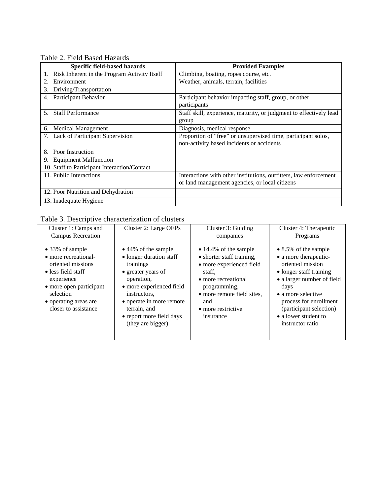Table 2. Field Based Hazards

| Specific field-based hazards                 | <b>Provided Examples</b>                                                                                            |
|----------------------------------------------|---------------------------------------------------------------------------------------------------------------------|
| Risk Inherent in the Program Activity Itself | Climbing, boating, ropes course, etc.                                                                               |
| Environment<br>2.                            | Weather, animals, terrain, facilities                                                                               |
| Driving/Transportation<br>3.                 |                                                                                                                     |
| Participant Behavior<br>4.                   | Participant behavior impacting staff, group, or other<br>participants                                               |
| <b>Staff Performance</b><br>5.               | Staff skill, experience, maturity, or judgment to effectively lead<br>group                                         |
| <b>Medical Management</b><br>6.              | Diagnosis, medical response                                                                                         |
| <b>Lack of Participant Supervision</b>       | Proportion of "free" or unsupervised time, participant solos,<br>non-activity based incidents or accidents          |
| Poor Instruction<br>8.                       |                                                                                                                     |
| <b>Equipment Malfunction</b><br>9.           |                                                                                                                     |
| 10. Staff to Participant Interaction/Contact |                                                                                                                     |
| 11. Public Interactions                      | Interactions with other institutions, outfitters, law enforcement<br>or land management agencies, or local citizens |
| 12. Poor Nutrition and Dehydration           |                                                                                                                     |
| 13. Inadequate Hygiene                       |                                                                                                                     |

# Table 3. Descriptive characterization of clusters

| Cluster 1: Camps and                                                                                                                                                                      | Cluster 2: Large OEPs                                                                                                                                                                                                                    | Cluster 3: Guiding                                                                                                                                                                                              | Cluster 4: Therapeutic                                                                                                                                                                                                                                    |
|-------------------------------------------------------------------------------------------------------------------------------------------------------------------------------------------|------------------------------------------------------------------------------------------------------------------------------------------------------------------------------------------------------------------------------------------|-----------------------------------------------------------------------------------------------------------------------------------------------------------------------------------------------------------------|-----------------------------------------------------------------------------------------------------------------------------------------------------------------------------------------------------------------------------------------------------------|
| <b>Campus Recreation</b>                                                                                                                                                                  |                                                                                                                                                                                                                                          | companies                                                                                                                                                                                                       | Programs                                                                                                                                                                                                                                                  |
| • 33% of sample<br>• more recreational-<br>oriented missions<br>• less field staff<br>experience<br>• more open participant<br>selection<br>• operating areas are<br>closer to assistance | • 44% of the sample<br>• longer duration staff<br>trainings<br>• greater years of<br>operation,<br>• more experienced field<br>instructors,<br>• operate in more remote<br>terrain, and<br>• report more field days<br>(they are bigger) | $\bullet$ 14.4% of the sample<br>• shorter staff training,<br>• more experienced field<br>staff.<br>• more recreational<br>programming,<br>• more remote field sites,<br>and<br>• more restrictive<br>insurance | • 8.5% of the sample<br>• a more therapeutic-<br>oriented mission<br>• longer staff training<br>• a larger number of field<br>days<br>• a more selective<br>process for enrollment<br>(participant selection)<br>• a lower student to<br>instructor ratio |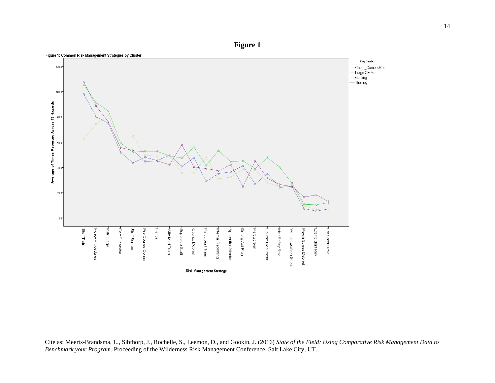**Figure 1**



Cite as: Meerts-Brandsma, L., Sibthorp, J., Rochelle, S., Leemon, D., and Gookin, J. (2016) *State of the Field: Using Comparative Risk Management Data to Benchmark your Program.* Proceeding of the Wilderness Risk Management Conference, Salt Lake City, UT.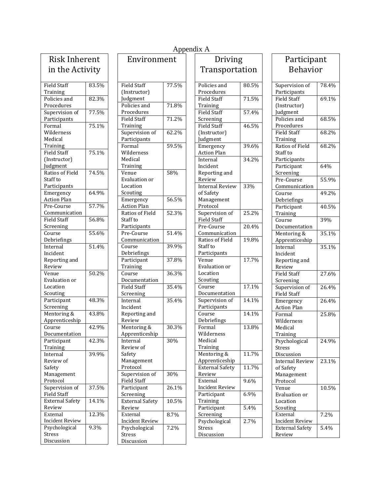| <b>Risk Inherent</b>           |       |  |
|--------------------------------|-------|--|
| in the Activity                |       |  |
| <b>Field Staff</b>             | 83.5% |  |
| Training                       |       |  |
| Policies and                   | 82.3% |  |
| Procedures                     |       |  |
| Supervision of                 | 77.5% |  |
| Participants                   |       |  |
| Formal                         | 75.1% |  |
| Wilderness                     |       |  |
| Medical                        |       |  |
| Training                       |       |  |
| <b>Field Staff</b>             | 75.1% |  |
| (Instructor)                   |       |  |
| Judgment                       |       |  |
| Ratios of Field                | 74.5% |  |
| Staff to                       |       |  |
| Participants                   |       |  |
| Emergency                      | 64.9% |  |
| <b>Action Plan</b>             |       |  |
| Pre-Course                     | 57.7% |  |
| Communication                  |       |  |
| <b>Field Staff</b>             | 56.8% |  |
| Screening                      |       |  |
| Course                         | 55.6% |  |
| Debriefings                    | 51.4% |  |
| Internal                       |       |  |
| Incident                       |       |  |
| Reporting and                  |       |  |
| Review<br>Venue                | 50.2% |  |
| Evaluation or                  |       |  |
| Location                       |       |  |
| Scouting                       |       |  |
| Participant                    | 48.3% |  |
| Screening                      |       |  |
| Mentoring &                    | 43.8% |  |
| Apprenticeship                 |       |  |
| Course                         | 42.9% |  |
| entatioı<br>Docum              |       |  |
| Participant                    | 42.3% |  |
| Training                       |       |  |
| Internal                       | 39.9% |  |
| Review of                      |       |  |
| Safety                         |       |  |
| Management                     |       |  |
| Protocol                       |       |  |
| Supervision of                 | 37.5% |  |
| Field Staff                    |       |  |
| <b>External Safety</b>         | 14.1% |  |
| Review                         |       |  |
| External                       | 12.3% |  |
| <b>Incident Review</b>         |       |  |
| Psychological<br><b>Stress</b> | 9.3%  |  |
| Discussion                     |       |  |
|                                |       |  |

| Environment            |       |  |
|------------------------|-------|--|
|                        |       |  |
| Field Staff            | 77.5% |  |
| (Instructor)           |       |  |
| Judgment               |       |  |
| Policies and           | 71.8% |  |
| Procedures             |       |  |
| Field Staff            | 71.2% |  |
| Training               |       |  |
| Supervision of         | 62.2% |  |
| Participants           | 59.5% |  |
| Formal<br>Wilderness   |       |  |
| Medical                |       |  |
| Training               |       |  |
| Venue                  | 58%   |  |
| <b>Evaluation or</b>   |       |  |
| Location               |       |  |
| Scouting               |       |  |
| Emergency              | 56.5% |  |
| <b>Action Plan</b>     |       |  |
| Ratios of Field        | 52.3% |  |
| Staff to               |       |  |
| Participants           |       |  |
| Pre-Course             | 51.4% |  |
| Communication          |       |  |
| Course                 | 39.9% |  |
| Debriefings            |       |  |
| Participant            | 37.8% |  |
| Training               |       |  |
| Course                 | 36.3% |  |
| Documentation          |       |  |
| <b>Field Staff</b>     | 35.4% |  |
| Screening              |       |  |
| Internal<br>Incident   | 35.4% |  |
| Reporting and          |       |  |
| Review                 |       |  |
| Mentoring &            | 30.3% |  |
| Apprenticeship         |       |  |
| Internal               | 30%   |  |
| Review of              |       |  |
| Safety                 |       |  |
| Management             |       |  |
| Protocol               |       |  |
| Supervision of         | 30%   |  |
| Field Staff            |       |  |
| Participant            | 26.1% |  |
| Screening              |       |  |
| <b>External Safety</b> | 10.5% |  |
| Review                 |       |  |
| External               | 8.7%  |  |
| <b>Incident Review</b> |       |  |
| Psychological          | 7.2%  |  |
| <b>Stress</b>          |       |  |
| Discussion             |       |  |

| ıt                | Driving                |       |
|-------------------|------------------------|-------|
|                   | Transportation         |       |
|                   |                        |       |
| 7.5%              | Policies and           | 80.5% |
|                   | Procedures             |       |
|                   | <b>Field Staff</b>     | 71.5% |
| 1.8%              | Training               |       |
|                   | Field Staff            | 57.4% |
| $1.2\%$           | Screening              |       |
|                   | Field Staff            | 46.5% |
| $2.2\%$           | (Instructor)           |       |
|                   | Judgment               |       |
| $0.5\%$           | Emergency              | 39.6% |
|                   | <b>Action Plan</b>     |       |
|                   | Internal               | 34.2% |
|                   | Incident               |       |
| 3%                | Reporting and          |       |
|                   | Review                 |       |
|                   | <b>Internal Review</b> | 33%   |
|                   | of Safety              |       |
| $\frac{1}{5.5\%}$ | Management             |       |
|                   | Protocol               |       |
| 2.3%              | Supervision of         | 25.2% |
|                   | <b>Field Staff</b>     |       |
|                   | Pre-Course             | 20.4% |
| 1.4%              | Communication          |       |
|                   | Ratios of Field        | 19.8% |
| $9.9\%$           | Staff to               |       |
|                   | Participants           |       |
| $7.8\%$           | Venue                  | 17.7% |
|                   | Evaluation or          |       |
| 5.3%              | Location               |       |
|                   | Scouting               |       |
| 5.4%              | Course                 | 17.1% |
|                   | Documentation          |       |
| 5.4%              | Supervision of         | 14.1% |
|                   | Participants           |       |
|                   | Course                 | 14.1% |
|                   | Debriefings            |       |
| $0.3\%$           | Formal                 | 13.8% |
|                   | Wilderness             |       |
| $\frac{1}{9}$     | Medical                |       |
|                   | Training               |       |
|                   | Mentoring &            | 11.7% |
|                   | Apprenticeship         |       |
|                   | <b>External Safety</b> | 11.7% |
| 9%                | Review                 |       |
|                   | External               | 9.6%  |
| $5.1\%$           | <b>Incident Review</b> |       |
|                   | Participant            | 6.9%  |
| $0.5\%$           | Training               |       |
|                   | Participant            | 5.4%  |
| 7%                | Screening              |       |
|                   | Psychological          | 2.7%  |
|                   |                        |       |
| 2%                | Stress                 |       |

| Participant                                       |       |  |
|---------------------------------------------------|-------|--|
| <b>Behavior</b>                                   |       |  |
| Supervision of<br>Participants                    | 78.4% |  |
| <b>Field Staff</b><br>(Instructor)                | 69.1% |  |
| Judgment<br>Policies and                          | 68.5% |  |
| Procedures<br>Field Staff                         | 68.2% |  |
| Training<br>Ratios of Field                       | 68.2% |  |
| Staff to<br>Participants                          |       |  |
| Participant<br>Screening                          | 64%   |  |
| Pre-Course<br>Communication                       | 55.9% |  |
| Course<br>Debriefings                             | 49.2% |  |
| Participant<br>Training                           | 40.5% |  |
| Course<br>Documentation                           | 39%   |  |
| Mentoring &<br>Apprenticeship                     | 35.1% |  |
| Internal<br>Incident                              | 35.1% |  |
| Reporting and<br>Review                           |       |  |
| <b>Field Staff</b><br>Screening                   | 27.6% |  |
| Supervision of<br>Field Staff                     | 26.4% |  |
| Emergency<br><b>Action Plan</b>                   | 26.4% |  |
| Formal<br>Wilderness<br>Medical<br>Training       | 25.8% |  |
| Psychological<br>Stress<br>Discussion             | 24.9% |  |
| <b>Internal Review</b><br>of Safety<br>Management | 23.1% |  |
| Protocol<br>Venue<br>Evaluation or<br>Location    | 10.5% |  |
| Scouting<br>External<br>Incident Review           | 7.2%  |  |
| <b>External Safety</b><br>Review                  | 5.4%  |  |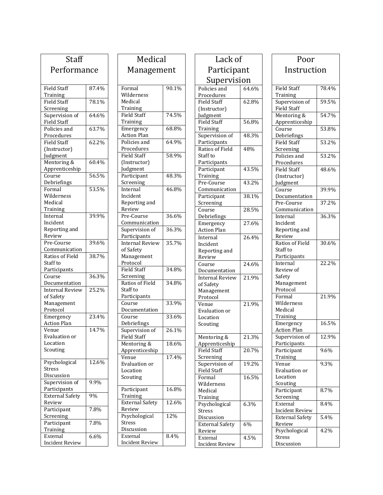| Staff                       |       |
|-----------------------------|-------|
| Performance                 |       |
|                             |       |
| <b>Field Staff</b>          | 87.4% |
| Training                    |       |
| <b>Field Staff</b>          | 78.1% |
| Screening                   |       |
| Supervision of              | 64.6% |
| Field Staff<br>Policies and | 63.7% |
| Procedures                  |       |
| <b>Field Staff</b>          | 62.2% |
| (Instructor)                |       |
| Judgment                    |       |
| Mentoring &                 | 60.4% |
| Apprenticeship              |       |
| Course                      | 56.5% |
| Debriefings                 |       |
| Formal<br>Wilderness        | 53.5% |
| Medical                     |       |
| Training                    |       |
| Internal                    | 39.9% |
| Incident                    |       |
| Reporting and               |       |
| Review                      |       |
| Pre-Course                  | 39.6% |
| Communication               |       |
| Ratios of Field             | 38.7% |
| Staff to                    |       |
| Participants<br>Course      | 36.3% |
| Documentation               |       |
| <b>Internal Review</b>      | 25.2% |
| of Safety                   |       |
| Management                  |       |
| Protocol                    |       |
| Emergency                   | 23.4% |
| <b>Action Plan</b>          |       |
| Venue                       | 14.7% |
| Evaluation or               |       |
| Location                    |       |
| Scouting                    |       |
| Psychological               | 12.6% |
| <b>Stress</b>               |       |
| Discussion                  |       |
| Supervision of              | 9.9%  |
| Participants                |       |
| <b>External Safety</b>      | 9%    |
| Review                      |       |
| Participant                 | 7.8%  |
| Screening<br>Participant    | 7.8%  |
| Training                    |       |
| External                    | 6.6%  |
| <b>Incident Review</b>      |       |
|                             |       |

| Medical                                                       |                     |  |
|---------------------------------------------------------------|---------------------|--|
| Management                                                    |                     |  |
| Formal<br>Wilderness<br>Medical<br>Training                   | 90.1%               |  |
| <b>Field Staff</b><br>Training                                | 74.5%               |  |
| Emergency<br><b>Action Plan</b>                               | 68.8%               |  |
| Policies and<br>Procedures                                    | 64.9%               |  |
| Field Staff<br>(Instructor)<br>Judgment                       | 58.9%               |  |
| Participant<br>Screening                                      | 48.3%               |  |
| Internal<br>Incident<br>Reporting and<br>Review               | 46.8%               |  |
| Pre-Course<br>Communication                                   | 36.6%               |  |
| Supervision of<br>Participants                                | 36.3%               |  |
| <b>Internal Review</b><br>of Safety<br>Management<br>Protocol | 35.7%               |  |
| <b>Field Staff</b><br>Screening                               | 34.8%               |  |
| Ratios of Field<br>Staff to<br>Participants                   | 34.8%               |  |
| Course<br>Documentation                                       | 33.9%               |  |
| Course<br>Debriefings                                         | 33.6%               |  |
| Supervision of<br>Field Staff                                 | 26.1%               |  |
| Mentoring &<br>Apprenticeship                                 | 18.6%               |  |
| Venue<br>Evaluation or<br>Location<br>Scouting                | $17.\overline{4\%}$ |  |
| Participant<br>Training                                       | 16.8%               |  |
| <b>External Safety</b><br>Review                              | 12.6%               |  |
| Psychological<br><b>Stress</b><br>Discussion                  | 12%                 |  |
| External<br><b>Incident Review</b>                            | 8.4%                |  |

| Lack of                          |       |  |
|----------------------------------|-------|--|
| Participant                      |       |  |
| Supervision                      |       |  |
| Policies and                     | 64.6% |  |
| Procedures<br>Field Staff        | 62.8% |  |
| (Instructor)                     |       |  |
| Judgment                         |       |  |
| Field Staff                      | 56.8% |  |
| Training<br>Supervision of       | 48.3% |  |
| Participants                     |       |  |
| Ratios of Field                  | 48%   |  |
| Staff to                         |       |  |
| Participants                     |       |  |
| Participant                      | 43.5% |  |
| Training<br>Pre-Course           | 43.2% |  |
| Communication                    |       |  |
| Participant                      | 38.1% |  |
| Screening                        |       |  |
| Course                           | 28.5% |  |
| Debriefings                      |       |  |
| Emergency                        | 27.6% |  |
| <b>Action Plan</b>               |       |  |
| Internal<br>Incident             | 26.4% |  |
| Reporting and                    |       |  |
| Review                           |       |  |
| Course                           | 24.6% |  |
| Documentation                    |       |  |
| <b>Internal Review</b>           | 21.9% |  |
| of Safety<br>Management          |       |  |
| Protocol                         |       |  |
| Venue                            | 21.9% |  |
| Evaluation or                    |       |  |
| Location                         |       |  |
| Scouting                         |       |  |
| Mentoring &                      | 21.3% |  |
| Apprenticeship                   |       |  |
| <b>Field Staff</b>               | 20.7% |  |
| Screening                        |       |  |
| Supervision of                   | 19.2% |  |
| Field Staff<br>Formal            | 16.5% |  |
| Wilderness                       |       |  |
| Medical                          |       |  |
| Training                         |       |  |
| Psychological                    | 6.3%  |  |
| <b>Stress</b>                    |       |  |
| <b>Discussion</b>                | 6%    |  |
| <b>External Safety</b><br>Review |       |  |
| External                         | 4.5%  |  |
| <b>Incident Review</b>           |       |  |

| Poor                       |                   |  |
|----------------------------|-------------------|--|
| Instruction                |                   |  |
|                            |                   |  |
| <b>Field Staff</b>         | 78.4%             |  |
| Training                   |                   |  |
| Supervision of             | 59.5%             |  |
| Field Staff                |                   |  |
| Mentoring &                | 54.7%             |  |
| Apprenticeship             |                   |  |
| Course                     | 53.8%             |  |
| Debriefings                |                   |  |
| <b>Field Staff</b>         | 53.2%             |  |
| Screening                  | 53.2%             |  |
| Policies and<br>Procedures |                   |  |
| <b>Field Staff</b>         | 48.6%             |  |
| (Instructor)               |                   |  |
| Judgment                   |                   |  |
| Course                     | 39.9%             |  |
| Documentation              |                   |  |
| Pre-Course                 | 37.2%             |  |
| Communication              |                   |  |
| Internal                   | 36.3%             |  |
| Incident                   |                   |  |
| Reporting and              |                   |  |
| Review                     |                   |  |
| <b>Ratios of Field</b>     | 30.6%             |  |
| Staff to                   |                   |  |
| Participants               | 22.2%             |  |
| Internal<br>Review of      |                   |  |
| Safety                     |                   |  |
| Management                 |                   |  |
| Protocol                   |                   |  |
| Formal                     | 21.9%             |  |
| Wilderness                 |                   |  |
| Medical                    |                   |  |
| Training                   |                   |  |
| Emergency                  | 16.5%             |  |
| <b>Action Plan</b>         |                   |  |
| Supervision of             | 12.9%             |  |
| Participants               |                   |  |
| Participant                | 9.6%              |  |
| Training                   | $\frac{1}{9.3}\%$ |  |
| Venue<br>Evaluation or     |                   |  |
| Location                   |                   |  |
| Scouting                   |                   |  |
| Participant                | 8.7%              |  |
| Screening                  |                   |  |
| External                   | 8.4%              |  |
| <b>Incident Review</b>     |                   |  |
| <b>External Safety</b>     | $\frac{1}{5.4\%}$ |  |
| Review                     |                   |  |
| Psychological              | 4.2%              |  |
| Stress                     |                   |  |
| Discussion                 |                   |  |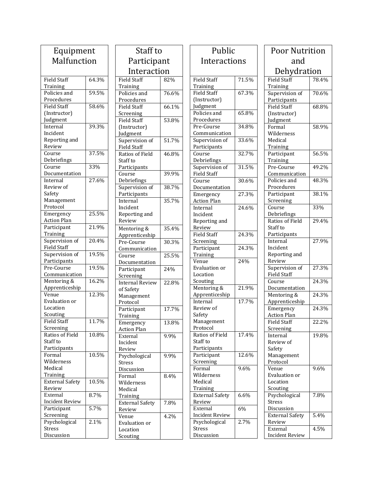| Equipment              |                   |
|------------------------|-------------------|
| Malfunction            |                   |
|                        |                   |
| <b>Field Staff</b>     | 64.3%             |
| Training               |                   |
| Policies and           | 59.5%             |
| Procedures             |                   |
| <b>Field Staff</b>     | 58.6%             |
| (Instructor)           |                   |
| Judgment               |                   |
| Internal               | 39.3%             |
| Incident               |                   |
| Reporting and          |                   |
| Review                 |                   |
| Course                 | 37.5%             |
| Debriefings            |                   |
| Course                 | 33%               |
| Documentation          |                   |
| Internal               | 27.6%             |
| Review of              |                   |
| Safety<br>Management   |                   |
| Protocol               |                   |
| Emergency              | 25.5%             |
| <b>Action Plan</b>     |                   |
| Participant            | 21.9%             |
| Training               |                   |
| Supervision of         | 20.4%             |
| Field Staff            |                   |
| Supervision of         | 19.5%             |
| Participants           |                   |
| Pre-Course             | 19.5%             |
| Communication          |                   |
| Mentoring &            | 16.2%             |
| Apprenticeship         |                   |
| Venue                  | 12.3%             |
| Evaluation or          |                   |
| Location               |                   |
| Scouting               |                   |
| Field Staff            | 11.7%             |
| Screening              |                   |
| Ratios of Field        | 10.8%             |
| Staff to               |                   |
| Participants           |                   |
| Formal                 | 10.5%             |
| Wilderness             |                   |
| Medical                |                   |
| Training               | 10.5%             |
| <b>External Safety</b> |                   |
| Review<br>External     | 8.7%              |
| <b>Incident Review</b> |                   |
| Participant            | $\frac{1}{5.7\%}$ |
| Screening              |                   |
| Psychological          | 2.1%              |
| Stress                 |                   |
| Discussion             |                   |
|                        |                   |

| Staff to                         |       |  |
|----------------------------------|-------|--|
| Participant                      |       |  |
| Interaction                      |       |  |
| Field Staff                      | 82%   |  |
| Training                         |       |  |
| Policies and                     | 76.6% |  |
| Procedures<br><b>Field Staff</b> | 66.1% |  |
| Screening                        |       |  |
| <b>Field Staff</b>               | 53.8% |  |
| (Instructor)                     |       |  |
| Judgment                         |       |  |
| Supervision of                   | 51.7% |  |
| Field Staff                      |       |  |
| Ratios of Field                  | 46.8% |  |
| Staff to                         |       |  |
| Participants<br>Course           | 39.9% |  |
| Debriefings                      |       |  |
| Supervision of                   | 38.7% |  |
| Participants                     |       |  |
| Internal                         | 35.7% |  |
| Incident                         |       |  |
| Reporting and                    |       |  |
| Review                           |       |  |
| Mentoring &                      | 35.4% |  |
| Apprenticeship                   |       |  |
| Pre-Course                       | 30.3% |  |
| Communication<br>Course          | 25.5% |  |
| Documentation                    |       |  |
| Participant                      | 24%   |  |
| Screening                        |       |  |
| <b>Internal Review</b>           | 22.8% |  |
| of Safety                        |       |  |
| Management                       |       |  |
| Protocol                         |       |  |
| Participant                      | 17.7% |  |
| Training                         | 13.8% |  |
| Emergency<br><b>Action Plan</b>  |       |  |
| External                         | 9.9%  |  |
| Incident                         |       |  |
| Review                           |       |  |
| Psychological                    | 9.9%  |  |
| Stress                           |       |  |
| Discussion                       |       |  |
| Formal                           | 8.4%  |  |
| Wilderness<br>Medical            |       |  |
| Training                         |       |  |
| <b>External Safety</b>           | 7.8%  |  |
| Review                           |       |  |
| Venue                            | 4.2%  |  |
| Evaluation or                    |       |  |
| Location                         |       |  |
| Scouting                         |       |  |

| Public                   |       | <b>Poor Nutrition</b>  |       |
|--------------------------|-------|------------------------|-------|
| Interactions             |       | and                    |       |
|                          |       | Dehydration            |       |
|                          |       |                        |       |
| <b>Field Staff</b>       | 71.5% | <b>Field Staff</b>     | 78.4% |
| Training                 |       | Training               |       |
| <b>Field Staff</b>       | 67.3% | Supervision of         | 70.6% |
| (Instructor)             |       | Participants           |       |
| Judgment<br>Policies and | 65.8% | <b>Field Staff</b>     | 68.8% |
| Procedures               |       | (Instructor)           |       |
| Pre-Course               | 34.8% | Judgment<br>Formal     | 58.9% |
|                          |       |                        |       |
| Communication            | 33.6% | Wilderness<br>Medical  |       |
| Supervision of           |       |                        |       |
| Participants             | 32.7% | Training               | 56.5% |
| Course                   |       | Participant            |       |
| Debriefings              |       | Training<br>Pre-Course | 49.2% |
| Supervision of           | 31.5% |                        |       |
| <b>Field Staff</b>       | 30.6% | Communication          | 48.3% |
| Course                   |       | Policies and           |       |
| Documentation            | 27.3% | Procedures             |       |
| Emergency                |       | Participant            | 38.1% |
| <b>Action Plan</b>       |       | Screening              |       |
| Internal                 | 24.6% | Course                 | 33%   |
| Incident                 |       | Debriefings            |       |
| Reporting and            |       | Ratios of Field        | 29.4% |
| Review                   |       | Staff to               |       |
| <b>Field Staff</b>       | 24.3% | Participants           |       |
| Screening                |       | Internal               | 27.9% |
| Participant              | 24.3% | Incident               |       |
| Training                 |       | Reporting and          |       |
| Venue                    | 24%   | Review                 |       |
| Evaluation or            |       | Supervision of         | 27.3% |
| Location                 |       | <b>Field Staff</b>     |       |
| Scouting                 |       | Course                 | 24.3% |
| Mentoring &              | 21.9% | Documentation          |       |
| Apprenticeship           |       | Mentoring &            | 24.3% |
| Internal                 | 17.7% | Apprenticeship         |       |
| Review of                |       | Emergency              | 24.3% |
| Safety                   |       | <b>Action Plan</b>     |       |
| Management               |       | Field Staff            | 22.2% |
| Protocol                 |       | Screening              |       |
| Ratios of Field          | 17.4% | Internal               | 19.8% |
| Staff to                 |       | Review of              |       |
| Participants             |       | Safety                 |       |
| Participant              | 12.6% | Management             |       |
| Screening                |       | Protocol               |       |
| Formal                   | 9.6%  | Venue                  | 9.6%  |
| Wilderness               |       | Evaluation or          |       |
| Medical                  |       | Location               |       |
| Training                 |       | Scouting               |       |
| <b>External Safety</b>   | 6.6%  | Psychological          | 7.8%  |
| Review                   |       | <b>Stress</b>          |       |
| External                 | 6%    | Discussion             |       |
| <b>Incident Review</b>   |       | <b>External Safety</b> | 5.4%  |
| Psychological            | 2.7%  | Review                 |       |
| Stress                   |       | External               | 4.5%  |
| Discussion               |       | <b>Incident Review</b> |       |

78.4%

70.6%

68.8%

58.9%

56.5%

49.2%

48.3%

38.1%

29.4%

27.9%

27.3%

24.3%

24.3%

24.3%

22.2%

19.8%